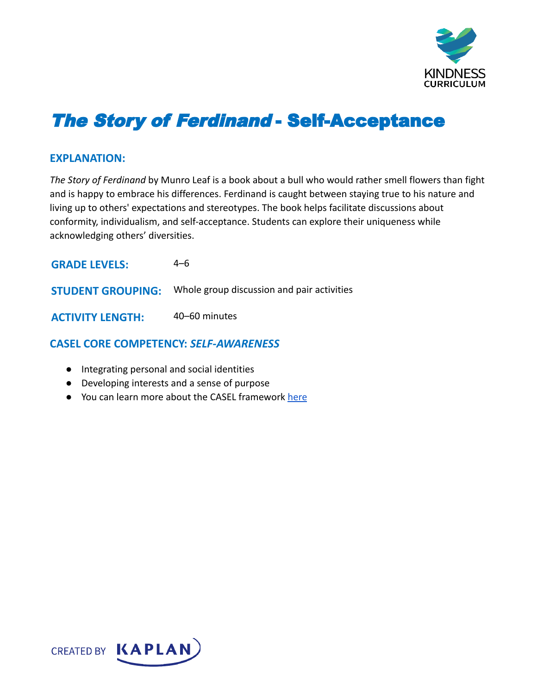

# The Story of Ferdinand - Self-Acceptance

#### **EXPLANATION:**

*The Story of Ferdinand* by Munro Leaf is a book about a bull who would rather smell flowers than fight and is happy to embrace his differences. Ferdinand is caught between staying true to his nature and living up to others' expectations and stereotypes. The book helps facilitate discussions about conformity, individualism, and self-acceptance. Students can explore their uniqueness while acknowledging others' diversities.

| <b>GRADE LEVELS:</b>     | 4–6                                        |
|--------------------------|--------------------------------------------|
| <b>STUDENT GROUPING:</b> | Whole group discussion and pair activities |
| <b>ACTIVITY LENGTH:</b>  | 40–60 minutes                              |

# **CASEL CORE COMPETENCY:** *SELF-AWARENESS*

- Integrating personal and social identities
- Developing interests and a sense of purpose
- You can learn more about the CASEL framework [here](https://casel.org/sel-framework/)

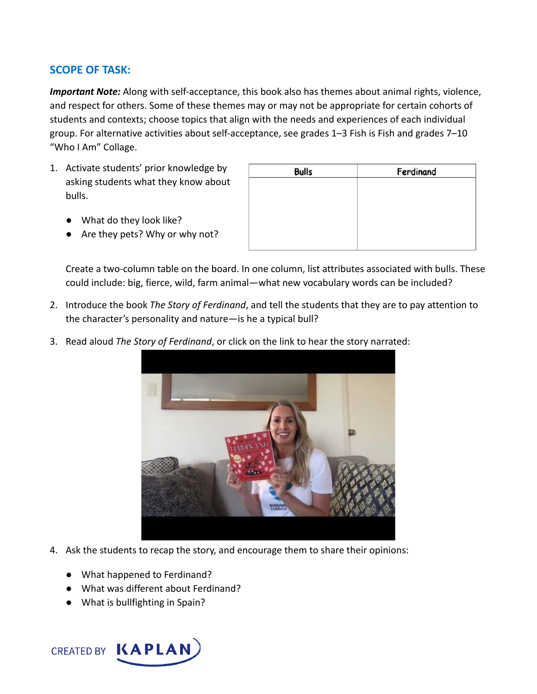## **SCOPE OF TASK:**

*Important Note:* Along with self-acceptance, this book also has themes about animal rights, violence, and respect for others. Some of these themes may or may not be appropriate for certain cohorts of students and contexts; choose topics that align with the needs and experiences of each individual group. For alternative activities about self-acceptance, see grades 1–3 Fish is Fish and grades 7–10 "Who I Am" Collage.

- 1. Activate students' prior knowledge by asking students what they know about bulls.
	- What do they look like?
	- Are they pets? Why or why not?

| <b>Bulls</b> | Ferdinand |
|--------------|-----------|
|              |           |
|              |           |
|              |           |
|              |           |
|              |           |

Create a two-column table on the board. In one column, list attributes associated with bulls. These could include: big, fierce, wild, farm animal—what new vocabulary words can be included?

- 2. Introduce the book *The Story of Ferdinand*, and tell the students that they are to pay attention to the character's personality and nature—is he a typical bull?
- 3. Read aloud *The Story of Ferdinand*, or click on the link to hear the story narrated:



- 4. Ask the students to recap the story, and encourage them to share their opinions:
	- What happened to Ferdinand?
	- What was different about Ferdinand?
	- What is bullfighting in Spain?